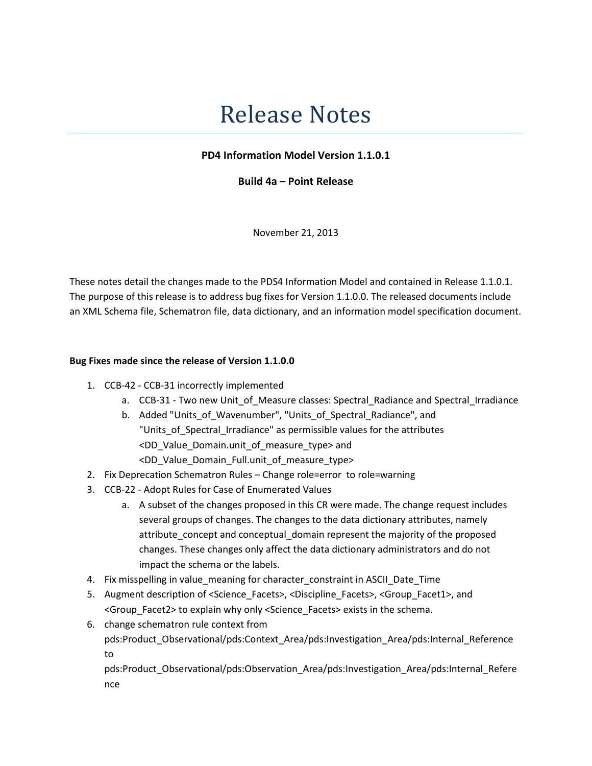## Release Notes

## PD4 Information Model Version 1.1.0.1

Build 4a – Point Release

November 21, 2013

These notes detail the changes made to the PDS4 Information Model and contained in Release 1.1.0.1. The purpose of this release is to address bug fixes for Version 1.1.0.0. The released documents include an XML Schema file, Schematron file, data dictionary, and an information model specification document.

## Bug Fixes made since the release of Version 1.1.0.0

- 1. CCB-42 CCB-31 incorrectly implemented
	- a. CCB-31 Two new Unit of Measure classes: Spectral Radiance and Spectral Irradiance
	- b. Added "Units\_of\_Wavenumber", "Units\_of\_Spectral\_Radiance", and "Units\_of\_Spectral\_Irradiance" as permissible values for the attributes <DD\_Value\_Domain.unit\_of\_measure\_type> and <DD\_Value\_Domain\_Full.unit\_of\_measure\_type>
- 2. Fix Deprecation Schematron Rules Change role=error to role=warning
- 3. CCB-22 Adopt Rules for Case of Enumerated Values
	- a. A subset of the changes proposed in this CR were made. The change request includes several groups of changes. The changes to the data dictionary attributes, namely attribute\_concept and conceptual\_domain represent the majority of the proposed changes. These changes only affect the data dictionary administrators and do not impact the schema or the labels.
- 4. Fix misspelling in value\_meaning for character\_constraint in ASCII\_Date\_Time
- 5. Augment description of <Science\_Facets>, <Discipline\_Facets>, <Group\_Facet1>, and <Group\_Facet2> to explain why only <Science\_Facets> exists in the schema.
- 6. change schematron rule context from pds:Product\_Observational/pds:Context\_Area/pds:Investigation\_Area/pds:Internal\_Reference to

pds:Product\_Observational/pds:Observation\_Area/pds:Investigation\_Area/pds:Internal\_Refere nce